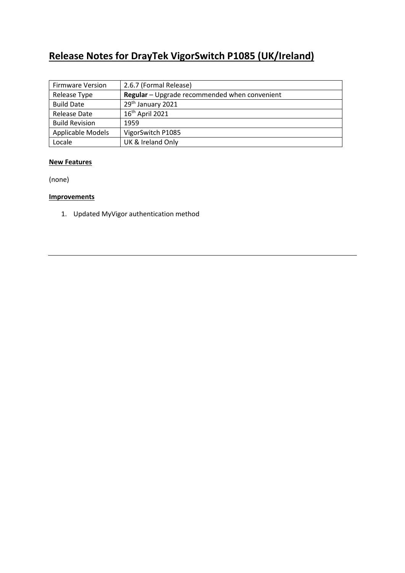# **Release Notes for DrayTek VigorSwitch P1085 (UK/Ireland)**

| <b>Firmware Version</b> | 2.6.7 (Formal Release)                        |
|-------------------------|-----------------------------------------------|
| Release Type            | Regular - Upgrade recommended when convenient |
| <b>Build Date</b>       | 29th January 2021                             |
| Release Date            | 16 <sup>th</sup> April 2021                   |
| <b>Build Revision</b>   | 1959                                          |
| Applicable Models       | VigorSwitch P1085                             |
| Locale                  | UK & Ireland Only                             |

#### **New Features**

(none)

## **Improvements**

1. Updated MyVigor authentication method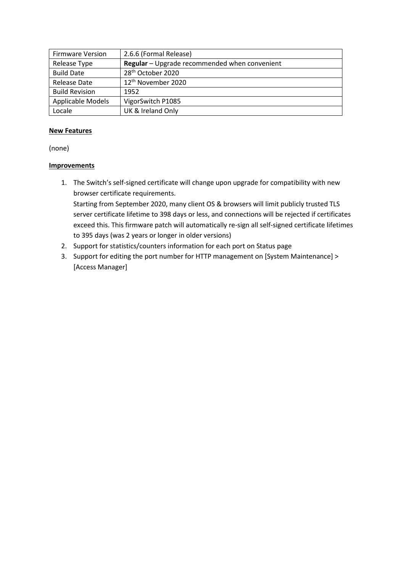| <b>Firmware Version</b> | 2.6.6 (Formal Release)                        |
|-------------------------|-----------------------------------------------|
| Release Type            | Regular - Upgrade recommended when convenient |
| <b>Build Date</b>       | 28 <sup>th</sup> October 2020                 |
| Release Date            | 12 <sup>th</sup> November 2020                |
| <b>Build Revision</b>   | 1952                                          |
| Applicable Models       | VigorSwitch P1085                             |
| Locale                  | UK & Ireland Only                             |

#### **New Features**

(none)

## **Improvements**

- 1. The Switch's self-signed certificate will change upon upgrade for compatibility with new browser certificate requirements. Starting from September 2020, many client OS & browsers will limit publicly trusted TLS server certificate lifetime to 398 days or less, and connections will be rejected if certificates exceed this. This firmware patch will automatically re-sign all self-signed certificate lifetimes to 395 days (was 2 years or longer in older versions)
- 2. Support for statistics/counters information for each port on Status page
- 3. Support for editing the port number for HTTP management on [System Maintenance] > [Access Manager]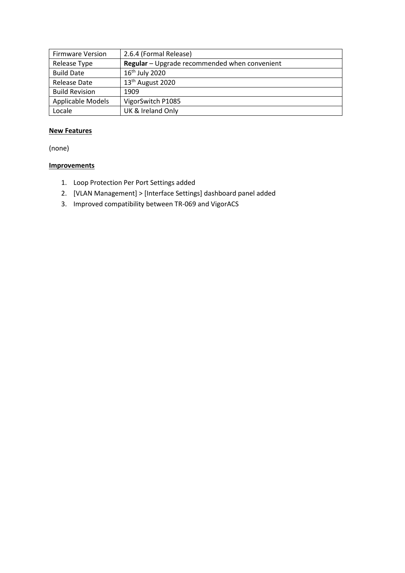| <b>Firmware Version</b> | 2.6.4 (Formal Release)                        |
|-------------------------|-----------------------------------------------|
| Release Type            | Regular - Upgrade recommended when convenient |
| <b>Build Date</b>       | $16th$ July 2020                              |
| Release Date            | 13 <sup>th</sup> August 2020                  |
| <b>Build Revision</b>   | 1909                                          |
| Applicable Models       | VigorSwitch P1085                             |
| Locale                  | UK & Ireland Only                             |

## **New Features**

(none)

# **Improvements**

- 1. Loop Protection Per Port Settings added
- 2. [VLAN Management] > [Interface Settings] dashboard panel added
- 3. Improved compatibility between TR-069 and VigorACS